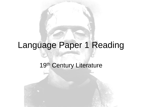# Language Paper 1 Reading

## 19th Century Literature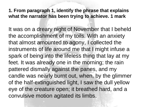#### **1. From paragraph 1, identify the phrase that explains what the narrator has been trying to achieve. 1 mark**

It was on a dreary night of November that I beheld the accomplishment of my toils. With an anxiety that almost amounted to agony, I collected the instruments of life around me that I might infuse a spark of being into the lifeless thing that lay at my feet. It was already one in the morning; the rain pattered dismally against the panes, and my candle was nearly burnt out, when, by the glimmer of the half-extinguished light, I saw the dull yellow eye of the creature open; it breathed hard, and a convulsive motion agitated its limbs.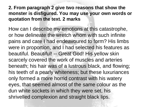### **2. From paragraph 2 give two reasons that show the monster is disfigured. You may use your own words or quotation from the text. 2 marks**

How can I describe my emotions at this catastrophe, or how delineate the wretch whom with such infinite pains and care I had endeavoured to form? His limbs were in proportion, and I had selected his features as beautiful. Beautiful! -- Great God! His yellow skin scarcely covered the work of muscles and arteries beneath; his hair was of a lustrous black, and flowing; his teeth of a pearly whiteness; but these luxuriances only formed a more horrid contrast with his watery eyes, that seemed almost of the same colour as the dun white sockets in which they were set, his shrivelled complexion and straight black lips.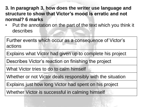**3. In paragraph 3, how does the writer use language and structure to show that Victor's mood is erratic and not normal? 6 marks**

• Put the annotation on the part of the text which you think it describes

Further events which occur as a consequence of Victor's actions

Explains what Victor had given up to complete his project

Describes Victor's reaction on finishing the project

What Victor tries to do to calm himself

Whether or not Victor deals responsibly with the situation

Explains just how long Victor had spent on his project

Whether Victor is successful in calming himself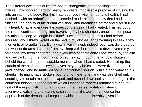The different accidents of life are not so changeable as the feelings of human nature. I had worked hard for nearly two years, for the sole purpose of infusing life into an inanimate body. For this I had deprived myself of rest and health. I had desired it with an ardour<sup>1</sup> that far exceeded moderation; but now that I had finished, the beauty of the dream vanished, and breathless horror and disgust filled my heart. Unable to endure the aspect of the being I had created, I rushed out of the room, continued a long time traversing my bed chamber, unable to compose my mind to sleep. At length lassitude<sup>2</sup> succeeded to the tumult I had before endured; and I threw myself on the bed in my clothes, endeavouring to seek a few moments of forgetfulness. But it was in vain: I slept, indeed, but I was disturbed by the wildest dreams. I started from my sleep with horror; a cold dew covered my forehead, my teeth chattered, and every limb became convulsed: when, by the dim and yellow light of the moon, as it forced its way through the window shutters, I beheld the wretch -- the miserable monster whom I had created. He held up the curtain of the bed and his eyes, if eyes they may be called, were fixed on me. His jaws opened, and he muttered some inarticulate<sup>3</sup> sounds, while a grin wrinkled his cheeks. He might have spoken, but I did not hear; one hand was stretched out, seemingly to detain me, but I escaped, and rushed down stairs. I took refuge in the courtyard belonging to the house which I inhabited; where I remained during the rest of the night, walking up and down in the greatest agitation, listening attentively, catching and fearing each sound as if it were to announce the approach of the demoniacal corpse to which I had so miserably given life.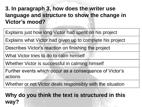**3. In paragraph 3, how does the writer use language and structure to show the change in Victor's mood?**

Explains just how long Victor had spent on his project

Explains what Victor had given up to complete his project

Describes Victor's reaction on finishing the project

What Victor tries to do to calm himself

Whether Victor is successful in calming himself

Further events which occur as a consequence of Victor's actions

Whether or not Victor deals responsibly with the situation

# **Why do you think the text is structured in this way?**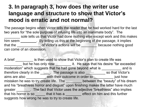# **3. In paragraph 3, how does the writer use language and structure to show that Victor's mood is erratic and not normal?**

The passage begins when Victor tells the reader that he had worked hard for the last two years for "the sole purpose of infusing life into an inanimate body". The sole tells us that Victor had done nothing else except work and this makes him seem \_\_\_\_\_\_\_\_\_. By telling us this at the beginning of the passage, it implies that the \_\_\_\_\_\_\_\_\_\_\_\_\_\_\_ of Victor's actions will be \_\_\_\_\_\_\_\_\_\_\_ because nothing good can come of an obsession.

A brief \_\_\_\_\_\_\_\_\_ is then used to show that Victor's plan to create life was **EXECUTE:** but he has only now \_\_\_\_\_\_\_\_\_ it. He says that his desire "far exceeded moderation" which suggests that he had gone beyond what is \_\_\_\_\_\_\_\_\_\_\_ and is therefore clearly in the \_\_\_\_\_\_. The passage is also \_\_\_\_\_\_\_\_\_\_\_ so that Victor's aims are also \_\_\_\_\_\_\_\_\_\_\_ with their outcome in order to \_\_\_\_\_\_\_\_\_\_\_\_ just how mistaken he was to try create life. The \_\_\_\_\_\_\_\_\_ between the "beauty" of his dream and his "breathless horror and disgust" upon finishing makes the latter have much greater \_\_\_\_\_\_\_. The fact that Victor uses the adjective "breathless" also implies that his horror is so \_\_\_\_\_\_ that it has a \_\_\_\_\_\_\_ effect on him and this further suggests how wrong he was to try to create life.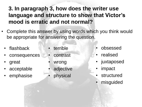# **3. In paragraph 3, how does the writer use language and structure to show that Victor's mood is erratic and not normal?**

- Complete this answer by using words which you think would be appropriate for answering the question.
	- flashback
	- consequences
	- great
	- acceptable
	- emphasise
- **terrible**
- **contrast**
- wrong
- adjective
- physical
- obsessed
- **realised**
- juxtaposed
- *impact* 
	- structured
	- misguided